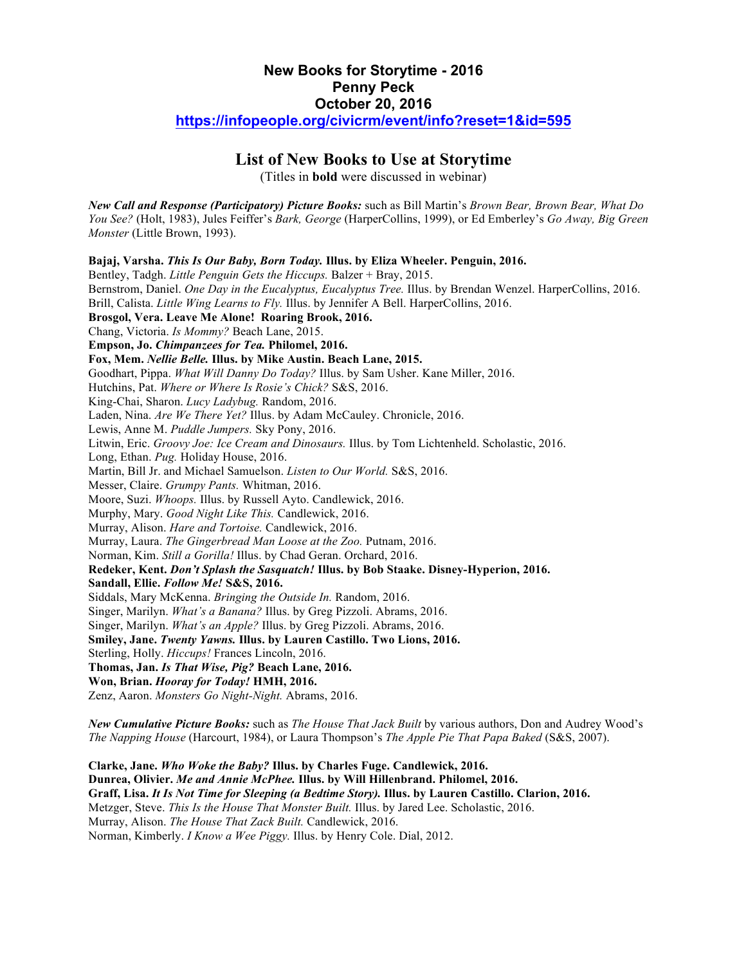## **New Books for Storytime - 2016 Penny Peck October 20, 2016 https://infopeople.org/civicrm/event/info?reset=1&id=595**

# **List of New Books to Use at Storytime**

(Titles in **bold** were discussed in webinar)

*New Call and Response (Participatory) Picture Books:* such as Bill Martin's *Brown Bear, Brown Bear, What Do You See?* (Holt, 1983), Jules Feiffer's *Bark, George* (HarperCollins, 1999), or Ed Emberley's *Go Away, Big Green Monster* (Little Brown, 1993).

**Bajaj, Varsha.** *This Is Our Baby, Born Today.* **Illus. by Eliza Wheeler. Penguin, 2016.** Bentley, Tadgh. *Little Penguin Gets the Hiccups.* Balzer + Bray, 2015. Bernstrom, Daniel. *One Day in the Eucalyptus, Eucalyptus Tree.* Illus. by Brendan Wenzel. HarperCollins, 2016. Brill, Calista. *Little Wing Learns to Fly.* Illus. by Jennifer A Bell. HarperCollins, 2016. **Brosgol, Vera. Leave Me Alone! Roaring Brook, 2016.** Chang, Victoria. *Is Mommy?* Beach Lane, 2015. **Empson, Jo.** *Chimpanzees for Tea.* **Philomel, 2016. Fox, Mem.** *Nellie Belle.* **Illus. by Mike Austin. Beach Lane, 2015.** Goodhart, Pippa. *What Will Danny Do Today?* Illus. by Sam Usher. Kane Miller, 2016. Hutchins, Pat. *Where or Where Is Rosie's Chick?* S&S, 2016. King-Chai, Sharon. *Lucy Ladybug.* Random, 2016. Laden, Nina. *Are We There Yet?* Illus. by Adam McCauley. Chronicle, 2016. Lewis, Anne M. *Puddle Jumpers.* Sky Pony, 2016. Litwin, Eric. *Groovy Joe: Ice Cream and Dinosaurs.* Illus. by Tom Lichtenheld. Scholastic, 2016. Long, Ethan. *Pug.* Holiday House, 2016. Martin, Bill Jr. and Michael Samuelson. *Listen to Our World.* S&S, 2016. Messer, Claire. *Grumpy Pants.* Whitman, 2016. Moore, Suzi. *Whoops.* Illus. by Russell Ayto. Candlewick, 2016. Murphy, Mary. *Good Night Like This.* Candlewick, 2016. Murray, Alison. *Hare and Tortoise.* Candlewick, 2016. Murray, Laura. *The Gingerbread Man Loose at the Zoo.* Putnam, 2016. Norman, Kim. *Still a Gorilla!* Illus. by Chad Geran. Orchard, 2016. **Redeker, Kent.** *Don't Splash the Sasquatch!* **Illus. by Bob Staake. Disney-Hyperion, 2016. Sandall, Ellie.** *Follow Me!* **S&S, 2016.** Siddals, Mary McKenna. *Bringing the Outside In.* Random, 2016. Singer, Marilyn. *What's a Banana?* Illus. by Greg Pizzoli. Abrams, 2016. Singer, Marilyn. *What's an Apple?* Illus. by Greg Pizzoli. Abrams, 2016. **Smiley, Jane.** *Twenty Yawns.* **Illus. by Lauren Castillo. Two Lions, 2016.** Sterling, Holly. *Hiccups!* Frances Lincoln, 2016. **Thomas, Jan.** *Is That Wise, Pig?* **Beach Lane, 2016. Won, Brian.** *Hooray for Today!* **HMH, 2016.** Zenz, Aaron. *Monsters Go Night-Night.* Abrams, 2016.

*New Cumulative Picture Books:* such as *The House That Jack Built* by various authors, Don and Audrey Wood's *The Napping House* (Harcourt, 1984), or Laura Thompson's *The Apple Pie That Papa Baked* (S&S, 2007).

**Clarke, Jane.** *Who Woke the Baby?* **Illus. by Charles Fuge. Candlewick, 2016. Dunrea, Olivier.** *Me and Annie McPhee.* **Illus. by Will Hillenbrand. Philomel, 2016. Graff, Lisa.** *It Is Not Time for Sleeping (a Bedtime Story).* **Illus. by Lauren Castillo. Clarion, 2016.** Metzger, Steve. *This Is the House That Monster Built.* Illus. by Jared Lee. Scholastic, 2016. Murray, Alison. *The House That Zack Built.* Candlewick, 2016. Norman, Kimberly. *I Know a Wee Piggy.* Illus. by Henry Cole. Dial, 2012.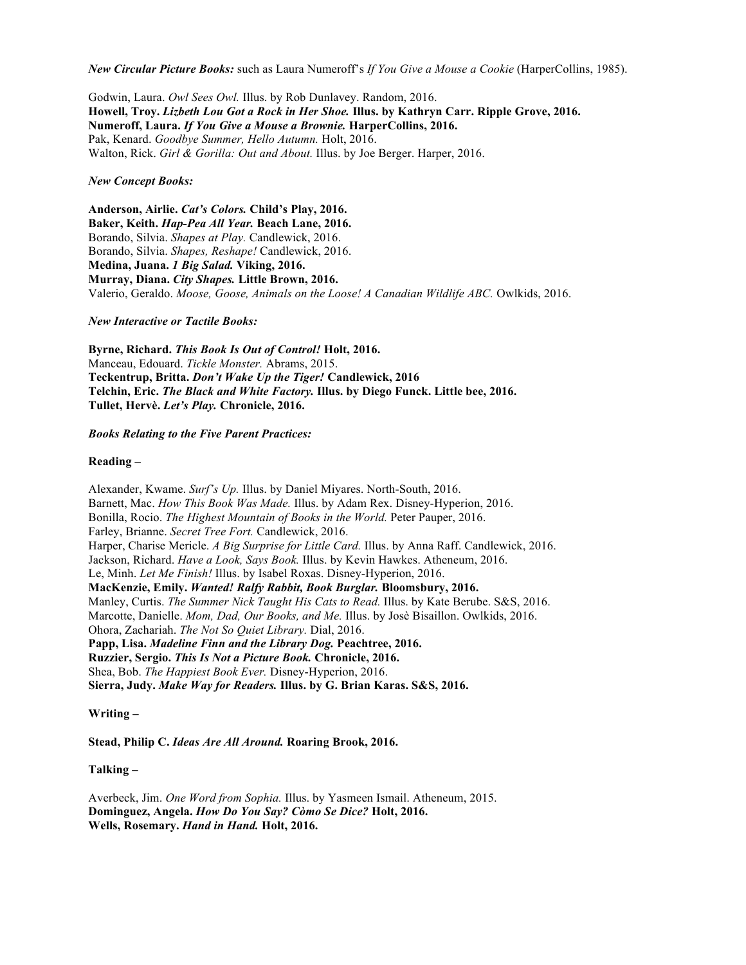*New Circular Picture Books:* such as Laura Numeroff's *If You Give a Mouse a Cookie* (HarperCollins, 1985).

Godwin, Laura. *Owl Sees Owl.* Illus. by Rob Dunlavey. Random, 2016. **Howell, Troy.** *Lizbeth Lou Got a Rock in Her Shoe.* **Illus. by Kathryn Carr. Ripple Grove, 2016. Numeroff, Laura.** *If You Give a Mouse a Brownie.* **HarperCollins, 2016.** Pak, Kenard. *Goodbye Summer, Hello Autumn.* Holt, 2016. Walton, Rick. *Girl & Gorilla: Out and About.* Illus. by Joe Berger. Harper, 2016.

*New Concept Books:*

**Anderson, Airlie.** *Cat's Colors.* **Child's Play, 2016. Baker, Keith.** *Hap-Pea All Year.* **Beach Lane, 2016.** Borando, Silvia. *Shapes at Play.* Candlewick, 2016. Borando, Silvia. *Shapes, Reshape!* Candlewick, 2016. **Medina, Juana.** *1 Big Salad.* **Viking, 2016. Murray, Diana.** *City Shapes.* **Little Brown, 2016.** Valerio, Geraldo. *Moose, Goose, Animals on the Loose! A Canadian Wildlife ABC.* Owlkids, 2016.

*New Interactive or Tactile Books:*

**Byrne, Richard.** *This Book Is Out of Control!* **Holt, 2016.** Manceau, Edouard. *Tickle Monster.* Abrams, 2015. **Teckentrup, Britta.** *Don't Wake Up the Tiger!* **Candlewick, 2016 Telchin, Eric.** *The Black and White Factory.* **Illus. by Diego Funck. Little bee, 2016. Tullet, Hervè.** *Let's Play.* **Chronicle, 2016.**

*Books Relating to the Five Parent Practices:*

**Reading –**

Alexander, Kwame. *Surf's Up.* Illus. by Daniel Miyares. North-South, 2016. Barnett, Mac. *How This Book Was Made.* Illus. by Adam Rex. Disney-Hyperion, 2016. Bonilla, Rocio. *The Highest Mountain of Books in the World.* Peter Pauper, 2016. Farley, Brianne. *Secret Tree Fort.* Candlewick, 2016. Harper, Charise Mericle. *A Big Surprise for Little Card.* Illus. by Anna Raff. Candlewick, 2016. Jackson, Richard. *Have a Look, Says Book.* Illus. by Kevin Hawkes. Atheneum, 2016. Le, Minh. *Let Me Finish!* Illus. by Isabel Roxas. Disney-Hyperion, 2016. **MacKenzie, Emily.** *Wanted! Ralfy Rabbit, Book Burglar.* **Bloomsbury, 2016.** Manley, Curtis. *The Summer Nick Taught His Cats to Read.* Illus. by Kate Berube. S&S, 2016. Marcotte, Danielle. *Mom, Dad, Our Books, and Me.* Illus. by Josè Bisaillon. Owlkids, 2016. Ohora, Zachariah. *The Not So Quiet Library.* Dial, 2016. **Papp, Lisa.** *Madeline Finn and the Library Dog.* **Peachtree, 2016. Ruzzier, Sergio.** *This Is Not a Picture Book.* **Chronicle, 2016.** Shea, Bob. *The Happiest Book Ever.* Disney-Hyperion, 2016. **Sierra, Judy.** *Make Way for Readers.* **Illus. by G. Brian Karas. S&S, 2016.**

**Writing –**

**Stead, Philip C.** *Ideas Are All Around.* **Roaring Brook, 2016.**

**Talking –**

Averbeck, Jim. *One Word from Sophia.* Illus. by Yasmeen Ismail. Atheneum, 2015. **Dominguez, Angela.** *How Do You Say? Còmo Se Dice?* **Holt, 2016. Wells, Rosemary.** *Hand in Hand.* **Holt, 2016.**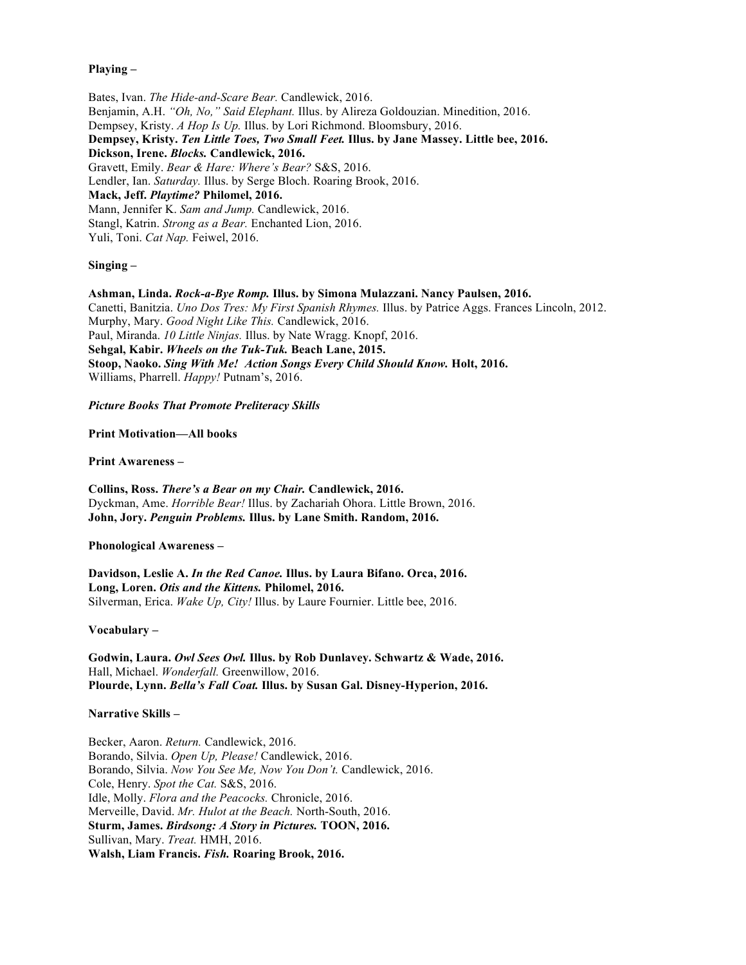## **Playing –**

Bates, Ivan. *The Hide-and-Scare Bear.* Candlewick, 2016. Benjamin, A.H. *"Oh, No," Said Elephant.* Illus. by Alireza Goldouzian. Minedition, 2016. Dempsey, Kristy. *A Hop Is Up.* Illus. by Lori Richmond. Bloomsbury, 2016. **Dempsey, Kristy.** *Ten Little Toes, Two Small Feet.* **Illus. by Jane Massey. Little bee, 2016. Dickson, Irene.** *Blocks.* **Candlewick, 2016.** Gravett, Emily. *Bear & Hare: Where's Bear?* S&S, 2016. Lendler, Ian. *Saturday.* Illus. by Serge Bloch. Roaring Brook, 2016. **Mack, Jeff.** *Playtime?* **Philomel, 2016.** Mann, Jennifer K. *Sam and Jump.* Candlewick, 2016. Stangl, Katrin. *Strong as a Bear.* Enchanted Lion, 2016. Yuli, Toni. *Cat Nap.* Feiwel, 2016.

## **Singing –**

**Ashman, Linda.** *Rock-a-Bye Romp.* **Illus. by Simona Mulazzani. Nancy Paulsen, 2016.** Canetti, Banitzia. *Uno Dos Tres: My First Spanish Rhymes.* Illus. by Patrice Aggs. Frances Lincoln, 2012. Murphy, Mary. *Good Night Like This.* Candlewick, 2016. Paul, Miranda. *10 Little Ninjas.* Illus. by Nate Wragg. Knopf, 2016. **Sehgal, Kabir.** *Wheels on the Tuk-Tuk.* **Beach Lane, 2015. Stoop, Naoko.** *Sing With Me! Action Songs Every Child Should Know.* **Holt, 2016.** Williams, Pharrell. *Happy!* Putnam's, 2016.

*Picture Books That Promote Preliteracy Skills*

**Print Motivation—All books**

**Print Awareness –**

**Collins, Ross.** *There's a Bear on my Chair.* **Candlewick, 2016.** Dyckman, Ame. *Horrible Bear!* Illus. by Zachariah Ohora. Little Brown, 2016. **John, Jory.** *Penguin Problems.* **Illus. by Lane Smith. Random, 2016.**

**Phonological Awareness –**

**Davidson, Leslie A.** *In the Red Canoe.* **Illus. by Laura Bifano. Orca, 2016. Long, Loren.** *Otis and the Kittens.* **Philomel, 2016.** Silverman, Erica. *Wake Up, City!* Illus. by Laure Fournier. Little bee, 2016.

**Vocabulary –**

**Godwin, Laura.** *Owl Sees Owl.* **Illus. by Rob Dunlavey. Schwartz & Wade, 2016.** Hall, Michael. *Wonderfall.* Greenwillow, 2016. **Plourde, Lynn.** *Bella's Fall Coat.* **Illus. by Susan Gal. Disney-Hyperion, 2016.** 

#### **Narrative Skills –**

Becker, Aaron. *Return.* Candlewick, 2016. Borando, Silvia. *Open Up, Please!* Candlewick, 2016. Borando, Silvia. *Now You See Me, Now You Don't.* Candlewick, 2016. Cole, Henry. *Spot the Cat.* S&S, 2016. Idle, Molly. *Flora and the Peacocks.* Chronicle, 2016. Merveille, David. *Mr. Hulot at the Beach.* North-South, 2016. **Sturm, James.** *Birdsong: A Story in Pictures.* **TOON, 2016.** Sullivan, Mary. *Treat.* HMH, 2016. **Walsh, Liam Francis.** *Fish.* **Roaring Brook, 2016.**